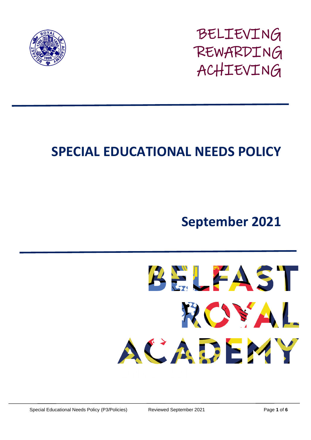

BELIEVING REWARDING ACHIEVING

# **SPECIAL EDUCATIONAL NEEDS POLICY**

## **September 2021**

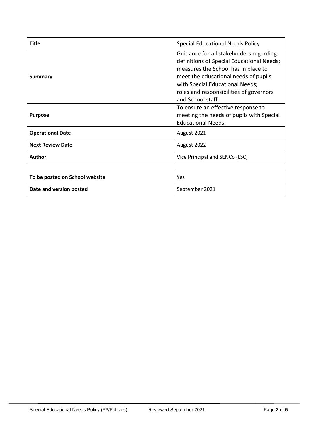| Title                   | <b>Special Educational Needs Policy</b>                                                                                                                                                                                                                                 |
|-------------------------|-------------------------------------------------------------------------------------------------------------------------------------------------------------------------------------------------------------------------------------------------------------------------|
| Summary                 | Guidance for all stakeholders regarding:<br>definitions of Special Educational Needs;<br>measures the School has in place to<br>meet the educational needs of pupils<br>with Special Educational Needs;<br>roles and responsibilities of governors<br>and School staff. |
| <b>Purpose</b>          | To ensure an effective response to<br>meeting the needs of pupils with Special<br><b>Educational Needs.</b>                                                                                                                                                             |
| <b>Operational Date</b> | August 2021                                                                                                                                                                                                                                                             |
| <b>Next Review Date</b> | August 2022                                                                                                                                                                                                                                                             |
| Author                  | Vice Principal and SENCo (LSC)                                                                                                                                                                                                                                          |

| To be posted on School website | Yes            |
|--------------------------------|----------------|
| Date and version posted        | September 2021 |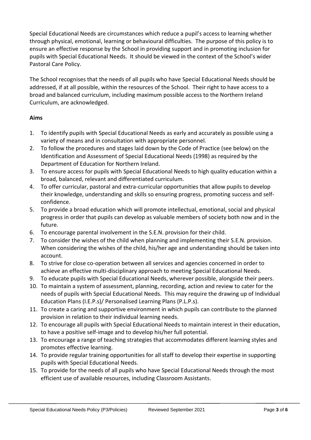Special Educational Needs are circumstances which reduce a pupil's access to learning whether through physical, emotional, learning or behavioural difficulties. The purpose of this policy is to ensure an effective response by the School in providing support and in promoting inclusion for pupils with Special Educational Needs. It should be viewed in the context of the School's wider Pastoral Care Policy.

The School recognises that the needs of all pupils who have Special Educational Needs should be addressed, if at all possible, within the resources of the School. Their right to have access to a broad and balanced curriculum, including maximum possible access to the Northern Ireland Curriculum, are acknowledged.

## **Aims**

- 1. To identify pupils with Special Educational Needs as early and accurately as possible using a variety of means and in consultation with appropriate personnel.
- 2. To follow the procedures and stages laid down by the Code of Practice (see below) on the Identification and Assessment of Special Educational Needs (1998) as required by the Department of Education for Northern Ireland.
- 3. To ensure access for pupils with Special Educational Needs to high quality education within a broad, balanced, relevant and differentiated curriculum.
- 4. To offer curricular, pastoral and extra-curricular opportunities that allow pupils to develop their knowledge, understanding and skills so ensuring progress, promoting success and selfconfidence.
- 5. To provide a broad education which will promote intellectual, emotional, social and physical progress in order that pupils can develop as valuable members of society both now and in the future.
- 6. To encourage parental involvement in the S.E.N. provision for their child.
- 7. To consider the wishes of the child when planning and implementing their S.E.N. provision. When considering the wishes of the child, his/her age and understanding should be taken into account.
- 8. To strive for close co-operation between all services and agencies concerned in order to achieve an effective multi-disciplinary approach to meeting Special Educational Needs.
- 9. To educate pupils with Special Educational Needs, wherever possible, alongside their peers.
- 10. To maintain a system of assessment, planning, recording, action and review to cater for the needs of pupils with Special Educational Needs. This may require the drawing up of Individual Education Plans (I.E.P.s)/ Personalised Learning Plans (P.L.P.s).
- 11. To create a caring and supportive environment in which pupils can contribute to the planned provision in relation to their individual learning needs.
- 12. To encourage all pupils with Special Educational Needs to maintain interest in their education, to have a positive self-image and to develop his/her full potential.
- 13. To encourage a range of teaching strategies that accommodates different learning styles and promotes effective learning.
- 14. To provide regular training opportunities for all staff to develop their expertise in supporting pupils with Special Educational Needs.
- 15. To provide for the needs of all pupils who have Special Educational Needs through the most efficient use of available resources, including Classroom Assistants.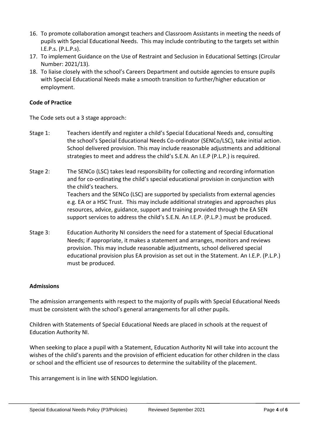- 16. To promote collaboration amongst teachers and Classroom Assistants in meeting the needs of pupils with Special Educational Needs. This may include contributing to the targets set within I.E.P.s. (P.L.P.s).
- 17. To implement Guidance on the Use of Restraint and Seclusion in Educational Settings (Circular Number: 2021/13).
- 18. To liaise closely with the school's Careers Department and outside agencies to ensure pupils with Special Educational Needs make a smooth transition to further/higher education or employment.

### **Code of Practice**

The Code sets out a 3 stage approach:

- Stage 1: Teachers identify and register a child's Special Educational Needs and, consulting the school's Special Educational Needs Co-ordinator (SENCo/LSC), take initial action. School delivered provision. This may include reasonable adjustments and additional strategies to meet and address the child's S.E.N. An I.E.P (P.L.P.) is required.
- Stage 2: The SENCo (LSC) takes lead responsibility for collecting and recording information and for co-ordinating the child's special educational provision in conjunction with the child's teachers. Teachers and the SENCo (LSC) are supported by specialists from external agencies e.g. EA or a HSC Trust. This may include additional strategies and approaches plus resources, advice, guidance, support and training provided through the EA SEN support services to address the child's S.E.N. An I.E.P. (P.L.P.) must be produced.
- Stage 3: Education Authority NI considers the need for a statement of Special Educational Needs; if appropriate, it makes a statement and arranges, monitors and reviews provision. This may include reasonable adjustments, school delivered special educational provision plus EA provision as set out in the Statement. An I.E.P. (P.L.P.) must be produced.

#### **Admissions**

The admission arrangements with respect to the majority of pupils with Special Educational Needs must be consistent with the school's general arrangements for all other pupils.

Children with Statements of Special Educational Needs are placed in schools at the request of Education Authority NI.

When seeking to place a pupil with a Statement, Education Authority NI will take into account the wishes of the child's parents and the provision of efficient education for other children in the class or school and the efficient use of resources to determine the suitability of the placement.

This arrangement is in line with SENDO legislation.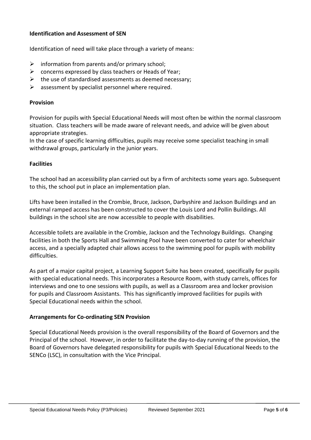#### **Identification and Assessment of SEN**

Identification of need will take place through a variety of means:

- $\triangleright$  information from parents and/or primary school;
- $\triangleright$  concerns expressed by class teachers or Heads of Year;
- $\triangleright$  the use of standardised assessments as deemed necessary;
- $\triangleright$  assessment by specialist personnel where required.

#### **Provision**

Provision for pupils with Special Educational Needs will most often be within the normal classroom situation. Class teachers will be made aware of relevant needs, and advice will be given about appropriate strategies.

In the case of specific learning difficulties, pupils may receive some specialist teaching in small withdrawal groups, particularly in the junior years.

#### **Facilities**

The school had an accessibility plan carried out by a firm of architects some years ago. Subsequent to this, the school put in place an implementation plan.

Lifts have been installed in the Crombie, Bruce, Jackson, Darbyshire and Jackson Buildings and an external ramped access has been constructed to cover the Louis Lord and Pollin Buildings. All buildings in the school site are now accessible to people with disabilities.

Accessible toilets are available in the Crombie, Jackson and the Technology Buildings. Changing facilities in both the Sports Hall and Swimming Pool have been converted to cater for wheelchair access, and a specially adapted chair allows access to the swimming pool for pupils with mobility difficulties.

As part of a major capital project, a Learning Support Suite has been created, specifically for pupils with special educational needs. This incorporates a Resource Room, with study carrels, offices for interviews and one to one sessions with pupils, as well as a Classroom area and locker provision for pupils and Classroom Assistants. This has significantly improved facilities for pupils with Special Educational needs within the school.

#### **Arrangements for Co-ordinating SEN Provision**

Special Educational Needs provision is the overall responsibility of the Board of Governors and the Principal of the school. However, in order to facilitate the day-to-day running of the provision, the Board of Governors have delegated responsibility for pupils with Special Educational Needs to the SENCo (LSC), in consultation with the Vice Principal.